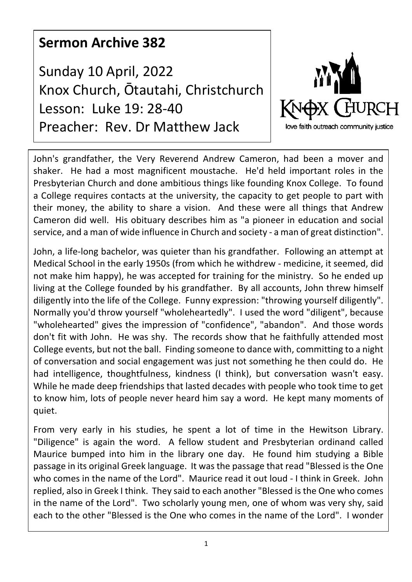## **Sermon Archive 382**

Sunday 10 April, 2022 Knox Church, Ōtautahi, Christchurch Lesson: Luke 19: 28-40 Preacher: Rev. Dr Matthew Jack



John's grandfather, the Very Reverend Andrew Cameron, had been a mover and shaker. He had a most magnificent moustache. He'd held important roles in the Presbyterian Church and done ambitious things like founding Knox College. To found a College requires contacts at the university, the capacity to get people to part with their money, the ability to share a vision. And these were all things that Andrew Cameron did well. His obituary describes him as "a pioneer in education and social service, and a man of wide influence in Church and society - a man of great distinction".

John, a life-long bachelor, was quieter than his grandfather. Following an attempt at Medical School in the early 1950s (from which he withdrew - medicine, it seemed, did not make him happy), he was accepted for training for the ministry. So he ended up living at the College founded by his grandfather. By all accounts, John threw himself diligently into the life of the College. Funny expression: "throwing yourself diligently". Normally you'd throw yourself "wholeheartedly". I used the word "diligent", because "wholehearted" gives the impression of "confidence", "abandon". And those words don't fit with John. He was shy. The records show that he faithfully attended most College events, but not the ball. Finding someone to dance with, committing to a night of conversation and social engagement was just not something he then could do. He had intelligence, thoughtfulness, kindness (I think), but conversation wasn't easy. While he made deep friendships that lasted decades with people who took time to get to know him, lots of people never heard him say a word. He kept many moments of quiet.

From very early in his studies, he spent a lot of time in the Hewitson Library. "Diligence" is again the word. A fellow student and Presbyterian ordinand called Maurice bumped into him in the library one day. He found him studying a Bible passage in its original Greek language. It was the passage that read "Blessed is the One who comes in the name of the Lord". Maurice read it out loud - I think in Greek. John replied, also in Greek I think. They said to each another "Blessed is the One who comes in the name of the Lord". Two scholarly young men, one of whom was very shy, said each to the other "Blessed is the One who comes in the name of the Lord". I wonder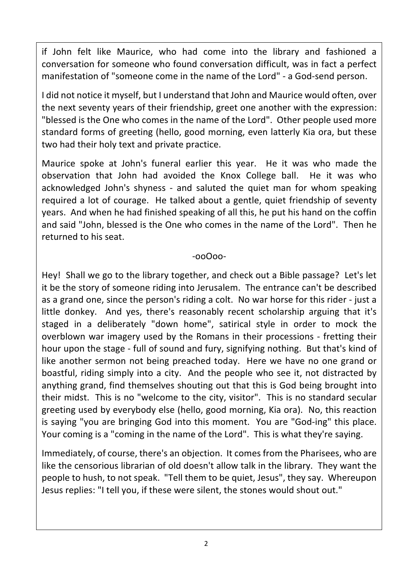if John felt like Maurice, who had come into the library and fashioned a conversation for someone who found conversation difficult, was in fact a perfect manifestation of "someone come in the name of the Lord" - a God-send person.

I did not notice it myself, but I understand that John and Maurice would often, over the next seventy years of their friendship, greet one another with the expression: "blessed is the One who comes in the name of the Lord". Other people used more standard forms of greeting (hello, good morning, even latterly Kia ora, but these two had their holy text and private practice.

Maurice spoke at John's funeral earlier this year. He it was who made the observation that John had avoided the Knox College ball. He it was who acknowledged John's shyness - and saluted the quiet man for whom speaking required a lot of courage. He talked about a gentle, quiet friendship of seventy years. And when he had finished speaking of all this, he put his hand on the coffin and said "John, blessed is the One who comes in the name of the Lord". Then he returned to his seat.

-ooOoo-

Hey! Shall we go to the library together, and check out a Bible passage? Let's let it be the story of someone riding into Jerusalem. The entrance can't be described as a grand one, since the person's riding a colt. No war horse for this rider - just a little donkey. And yes, there's reasonably recent scholarship arguing that it's staged in a deliberately "down home", satirical style in order to mock the overblown war imagery used by the Romans in their processions - fretting their hour upon the stage - full of sound and fury, signifying nothing. But that's kind of like another sermon not being preached today. Here we have no one grand or boastful, riding simply into a city. And the people who see it, not distracted by anything grand, find themselves shouting out that this is God being brought into their midst. This is no "welcome to the city, visitor". This is no standard secular greeting used by everybody else (hello, good morning, Kia ora). No, this reaction is saying "you are bringing God into this moment. You are "God-ing" this place. Your coming is a "coming in the name of the Lord". This is what they're saying.

Immediately, of course, there's an objection. It comes from the Pharisees, who are like the censorious librarian of old doesn't allow talk in the library. They want the people to hush, to not speak. "Tell them to be quiet, Jesus", they say. Whereupon Jesus replies: "I tell you, if these were silent, the stones would shout out."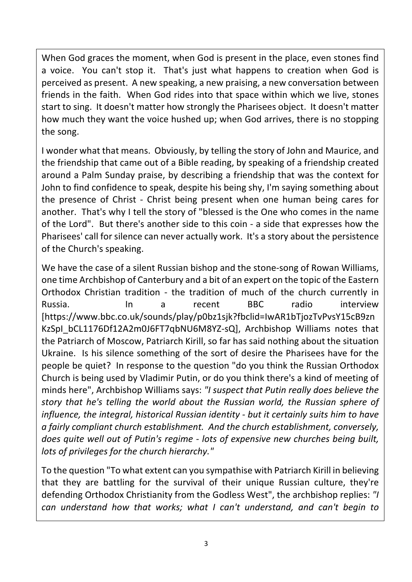When God graces the moment, when God is present in the place, even stones find a voice. You can't stop it. That's just what happens to creation when God is perceived as present. A new speaking, a new praising, a new conversation between friends in the faith. When God rides into that space within which we live, stones start to sing. It doesn't matter how strongly the Pharisees object. It doesn't matter how much they want the voice hushed up; when God arrives, there is no stopping the song.

I wonder what that means. Obviously, by telling the story of John and Maurice, and the friendship that came out of a Bible reading, by speaking of a friendship created around a Palm Sunday praise, by describing a friendship that was the context for John to find confidence to speak, despite his being shy, I'm saying something about the presence of Christ - Christ being present when one human being cares for another. That's why I tell the story of "blessed is the One who comes in the name of the Lord". But there's another side to this coin - a side that expresses how the Pharisees' call for silence can never actually work. It's a story about the persistence of the Church's speaking.

We have the case of a silent Russian bishop and the stone-song of Rowan Williams, one time Archbishop of Canterbury and a bit of an expert on the topic of the Eastern Orthodox Christian tradition - the tradition of much of the church currently in Russia. In a recent BBC radio interview [https://www.bbc.co.uk/sounds/play/p0bz1sjk?fbclid=IwAR1bTjozTvPvsY15cB9zn KzSpI\_bCL1176Df12A2m0J6FT7qbNU6M8YZ-sQ], Archbishop Williams notes that the Patriarch of Moscow, Patriarch Kirill, so far has said nothing about the situation Ukraine. Is his silence something of the sort of desire the Pharisees have for the people be quiet? In response to the question "do you think the Russian Orthodox Church is being used by Vladimir Putin, or do you think there's a kind of meeting of minds here", Archbishop Williams says: *"I suspect that Putin really does believe the story that he's telling the world about the Russian world, the Russian sphere of influence, the integral, historical Russian identity - but it certainly suits him to have a fairly compliant church establishment. And the church establishment, conversely, does quite well out of Putin's regime - lots of expensive new churches being built, lots of privileges for the church hierarchy."*

To the question "To what extent can you sympathise with Patriarch Kirill in believing that they are battling for the survival of their unique Russian culture, they're defending Orthodox Christianity from the Godless West", the archbishop replies: *"I can understand how that works; what I can't understand, and can't begin to*